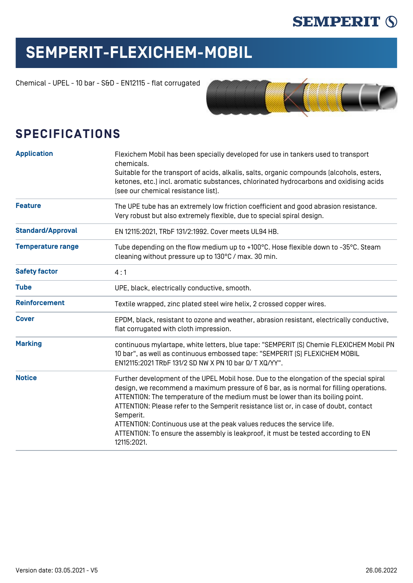### **SEMPERIT (S)**

# **SEMPERIT-FLEXICHEM-MOBIL**

Chemical - UPEL - 10 bar - S&D - EN12115 - flat corrugated



#### **SPECIFICATIONS**

| <b>Application</b>       | Flexichem Mobil has been specially developed for use in tankers used to transport<br>chemicals.<br>Suitable for the transport of acids, alkalis, salts, organic compounds (alcohols, esters,<br>ketones, etc.) incl. aromatic substances, chlorinated hydrocarbons and oxidising acids<br>[see our chemical resistance list].                                                                                                                                                                                                                           |  |  |  |  |  |
|--------------------------|---------------------------------------------------------------------------------------------------------------------------------------------------------------------------------------------------------------------------------------------------------------------------------------------------------------------------------------------------------------------------------------------------------------------------------------------------------------------------------------------------------------------------------------------------------|--|--|--|--|--|
| <b>Feature</b>           | The UPE tube has an extremely low friction coefficient and good abrasion resistance.<br>Very robust but also extremely flexible, due to special spiral design.                                                                                                                                                                                                                                                                                                                                                                                          |  |  |  |  |  |
| <b>Standard/Approval</b> | EN 12115:2021, TRbF 131/2:1992. Cover meets UL94 HB.                                                                                                                                                                                                                                                                                                                                                                                                                                                                                                    |  |  |  |  |  |
| <b>Temperature range</b> | Tube depending on the flow medium up to +100°C. Hose flexible down to -35°C. Steam<br>cleaning without pressure up to 130°C / max. 30 min.                                                                                                                                                                                                                                                                                                                                                                                                              |  |  |  |  |  |
| <b>Safety factor</b>     | 4:1                                                                                                                                                                                                                                                                                                                                                                                                                                                                                                                                                     |  |  |  |  |  |
| <b>Tube</b>              | UPE, black, electrically conductive, smooth.                                                                                                                                                                                                                                                                                                                                                                                                                                                                                                            |  |  |  |  |  |
| <b>Reinforcement</b>     | Textile wrapped, zinc plated steel wire helix, 2 crossed copper wires.                                                                                                                                                                                                                                                                                                                                                                                                                                                                                  |  |  |  |  |  |
| <b>Cover</b>             | EPDM, black, resistant to ozone and weather, abrasion resistant, electrically conductive,<br>flat corrugated with cloth impression.                                                                                                                                                                                                                                                                                                                                                                                                                     |  |  |  |  |  |
| <b>Marking</b>           | continuous mylartape, white letters, blue tape: "SEMPERIT [S] Chemie FLEXICHEM Mobil PN<br>10 bar", as well as continuous embossed tape: "SEMPERIT [S] FLEXICHEM MOBIL<br>EN12115:2021 TRbF 131/2 SD NW X PN 10 bar Ω/ T XQ/YY".                                                                                                                                                                                                                                                                                                                        |  |  |  |  |  |
| <b>Notice</b>            | Further development of the UPEL Mobil hose. Due to the elongation of the special spiral<br>design, we recommend a maximum pressure of 6 bar, as is normal for filling operations.<br>ATTENTION: The temperature of the medium must be lower than its boiling point.<br>ATTENTION: Please refer to the Semperit resistance list or, in case of doubt, contact<br>Semperit.<br>ATTENTION: Continuous use at the peak values reduces the service life.<br>ATTENTION: To ensure the assembly is leakproof, it must be tested according to EN<br>12115:2021. |  |  |  |  |  |